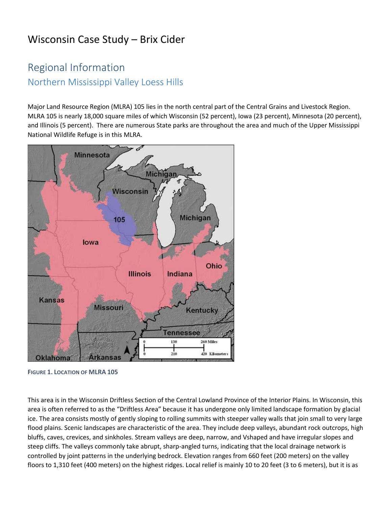# Wisconsin Case Study – Brix Cider

# Regional Information Northern Mississippi Valley Loess Hills

Major Land Resource Region (MLRA) 105 lies in the north central part of the Central Grains and Livestock Region. MLRA 105 is nearly 18,000 square miles of which Wisconsin (52 percent), Iowa (23 percent), Minnesota (20 percent), and Illinois (5 percent). There are numerous State parks are throughout the area and much of the Upper Mississippi National Wildlife Refuge is in this MLRA.



**FIGURE 1. LOCATION OF MLRA 105**

This area is in the Wisconsin Driftless Section of the Central Lowland Province of the Interior Plains. In Wisconsin, this area is often referred to as the "Driftless Area" because it has undergone only limited landscape formation by glacial ice. The area consists mostly of gently sloping to rolling summits with steeper valley walls that join small to very large flood plains. Scenic landscapes are characteristic of the area. They include deep valleys, abundant rock outcrops, high bluffs, caves, crevices, and sinkholes. Stream valleys are deep, narrow, and Vshaped and have irregular slopes and steep cliffs. The valleys commonly take abrupt, sharp-angled turns, indicating that the local drainage network is controlled by joint patterns in the underlying bedrock. Elevation ranges from 660 feet (200 meters) on the valley floors to 1,310 feet (400 meters) on the highest ridges. Local relief is mainly 10 to 20 feet (3 to 6 meters), but it is as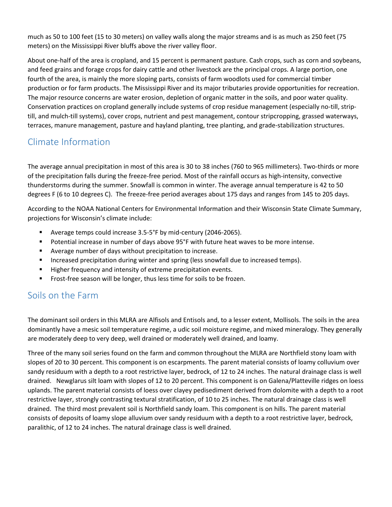much as 50 to 100 feet (15 to 30 meters) on valley walls along the major streams and is as much as 250 feet (75 meters) on the Mississippi River bluffs above the river valley floor.

About one-half of the area is cropland, and 15 percent is permanent pasture. Cash crops, such as corn and soybeans, and feed grains and forage crops for dairy cattle and other livestock are the principal crops. A large portion, one fourth of the area, is mainly the more sloping parts, consists of farm woodlots used for commercial timber production or for farm products. The Mississippi River and its major tributaries provide opportunities for recreation. The major resource concerns are water erosion, depletion of organic matter in the soils, and poor water quality. Conservation practices on cropland generally include systems of crop residue management (especially no-till, striptill, and mulch-till systems), cover crops, nutrient and pest management, contour stripcropping, grassed waterways, terraces, manure management, pasture and hayland planting, tree planting, and grade-stabilization structures.

## Climate Information

The average annual precipitation in most of this area is 30 to 38 inches (760 to 965 millimeters). Two-thirds or more of the precipitation falls during the freeze-free period. Most of the rainfall occurs as high-intensity, convective thunderstorms during the summer. Snowfall is common in winter. The average annual temperature is 42 to 50 degrees F (6 to 10 degrees C). The freeze-free period averages about 175 days and ranges from 145 to 205 days.

According to the NOAA National Centers for Environmental Information and their Wisconsin State Climate Summary, projections for Wisconsin's climate include:

- Average temps could increase 3.5-5°F by mid-century (2046-2065).
- Potential increase in number of days above 95°F with future heat waves to be more intense.
- Average number of days without precipitation to increase.
- **E** Increased precipitation during winter and spring (less snowfall due to increased temps).
- Higher frequency and intensity of extreme precipitation events.
- Frost-free season will be longer, thus less time for soils to be frozen.

### Soils on the Farm

The dominant soil orders in this MLRA are Alfisols and Entisols and, to a lesser extent, Mollisols. The soils in the area dominantly have a mesic soil temperature regime, a udic soil moisture regime, and mixed mineralogy. They generally are moderately deep to very deep, well drained or moderately well drained, and loamy.

Three of the many soil series found on the farm and common throughout the MLRA are Northfield stony loam with slopes of 20 to 30 percent. This component is on escarpments. The parent material consists of loamy colluvium over sandy residuum with a depth to a root restrictive layer, bedrock, of 12 to 24 inches. The natural drainage class is well drained. Newglarus silt loam with slopes of 12 to 20 percent. This component is on Galena/Platteville ridges on loess uplands. The parent material consists of loess over clayey pedisediment derived from dolomite with a depth to a root restrictive layer, strongly contrasting textural stratification, of 10 to 25 inches. The natural drainage class is well drained. The third most prevalent soil is Northfield sandy loam. This component is on hills. The parent material consists of deposits of loamy slope alluvium over sandy residuum with a depth to a root restrictive layer, bedrock, paralithic, of 12 to 24 inches. The natural drainage class is well drained.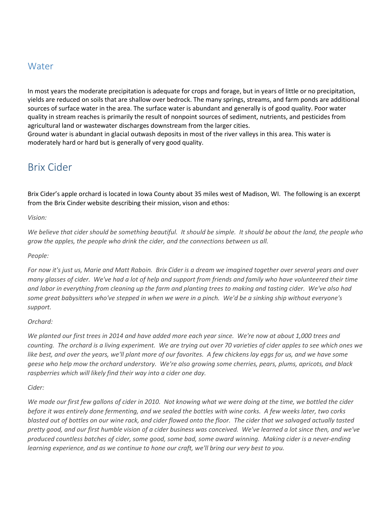### Water

In most years the moderate precipitation is adequate for crops and forage, but in years of little or no precipitation, yields are reduced on soils that are shallow over bedrock. The many springs, streams, and farm ponds are additional sources of surface water in the area. The surface water is abundant and generally is of good quality. Poor water quality in stream reaches is primarily the result of nonpoint sources of sediment, nutrients, and pesticides from agricultural land or wastewater discharges downstream from the larger cities.

Ground water is abundant in glacial outwash deposits in most of the river valleys in this area. This water is moderately hard or hard but is generally of very good quality.

### Brix Cider

Brix Cider's apple orchard is located in Iowa County about 35 miles west of Madison, WI. The following is an excerpt from the Brix Cinder website describing their mission, vison and ethos:

*Vision:*

*We believe that cider should be something beautiful. It should be simple. It should be about the land, the people who grow the apples, the people who drink the cider, and the connections between us all.*

*People:*

*For now it's just us, Marie and Matt Raboin. Brix Cider is a dream we imagined together over several years and over many glasses of cider. We've had a lot of help and support from friends and family who have volunteered their time and labor in everything from cleaning up the farm and planting trees to making and tasting cider. We've also had some great babysitters who've stepped in when we were in a pinch. We'd be a sinking ship without everyone's support.*

#### *Orchard:*

*We planted our first trees in 2014 and have added more each year since. We're now at about 1,000 trees and counting. The orchard is a living experiment. We are trying out over 70 varieties of cider apples to see which ones we like best, and over the years, we'll plant more of our favorites. A few chickens lay eggs for us, and we have some geese who help mow the orchard understory. We're also growing some cherries, pears, plums, apricots, and black raspberries which will likely find their way into a cider one day.*

*Cider:*

*We made our first few gallons of cider in 2010. Not knowing what we were doing at the time, we bottled the cider before it was entirely done fermenting, and we sealed the bottles with wine corks. A few weeks later, two corks blasted out of bottles on our wine rack, and cider flowed onto the floor. The cider that we salvaged actually tasted pretty good, and our first humble vision of a cider business was conceived. We've learned a lot since then, and we've produced countless batches of cider, some good, some bad, some award winning. Making cider is a never-ending learning experience, and as we continue to hone our craft, we'll bring our very best to you.*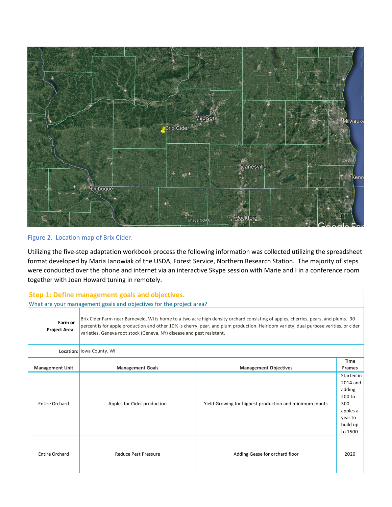

#### Figure 2. Location map of Brix Cider.

Utilizing the five-step adaptation workbook process the following information was collected utilizing the spreadsheet format developed by Maria Janowiak of the USDA, Forest Service, Northern Research Station. The majority of steps were conducted over the phone and internet via an interactive Skype session with Marie and I in a conference room together with Joan Howard tuning in remotely.

| Step 1: Define management goals and objectives.                                                                                                                                                                                                                                                                                                                                         |                             |                                                         |                                                                                                 |  |  |  |
|-----------------------------------------------------------------------------------------------------------------------------------------------------------------------------------------------------------------------------------------------------------------------------------------------------------------------------------------------------------------------------------------|-----------------------------|---------------------------------------------------------|-------------------------------------------------------------------------------------------------|--|--|--|
| What are your management goals and objectives for the project area?                                                                                                                                                                                                                                                                                                                     |                             |                                                         |                                                                                                 |  |  |  |
| Brix Cider Farm near Barneveld, WI is home to a two acre high density orchard consisting of apples, cherries, pears, and plums. 90<br>Farm or<br>percent is for apple production and other 10% is cherry, pear, and plum production. Heirloom variety, dual purpose verities, or cider<br><b>Project Area:</b><br>varieties, Geneva root stock (Geneva, NY) disease and pest resistant. |                             |                                                         |                                                                                                 |  |  |  |
|                                                                                                                                                                                                                                                                                                                                                                                         | Location: lowa County, WI   |                                                         |                                                                                                 |  |  |  |
| <b>Management Unit</b>                                                                                                                                                                                                                                                                                                                                                                  | <b>Management Goals</b>     | <b>Management Objectives</b>                            | <b>Time</b><br><b>Frames</b>                                                                    |  |  |  |
| <b>Entire Orchard</b>                                                                                                                                                                                                                                                                                                                                                                   | Apples for Cider production | Yield-Growing for highest production and minimum inputs | Started in<br>2014 and<br>adding<br>200 to<br>300<br>apples a<br>year to<br>build up<br>to 1500 |  |  |  |
| <b>Entire Orchard</b>                                                                                                                                                                                                                                                                                                                                                                   | <b>Reduce Pest Pressure</b> | Adding Geese for orchard floor                          | 2020                                                                                            |  |  |  |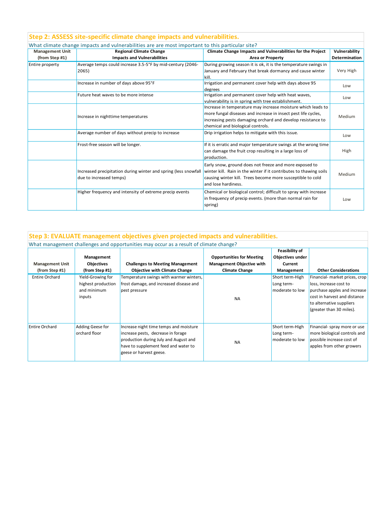|                        | Step 2: ASSESS site-specific climate change impacts and vulnerabilities.                        |                                                                                                                                          |                      |  |
|------------------------|-------------------------------------------------------------------------------------------------|------------------------------------------------------------------------------------------------------------------------------------------|----------------------|--|
|                        | What climate change impacts and vulnerabilities are are most important to this particular site? |                                                                                                                                          |                      |  |
| <b>Management Unit</b> | <b>Regional Climate Change</b>                                                                  | Climate Change Impacts and Vulnerabilities for the Project                                                                               | Vulnerability        |  |
| (from Step #1)         | <b>Impacts and Vulnerabilities</b>                                                              | <b>Area or Property</b>                                                                                                                  | <b>Determination</b> |  |
| Entire property        | Average temps could increase 3.5-5°F by mid-century (2046-                                      | During growing season it is ok, it is the temperature swings in                                                                          |                      |  |
|                        | 2065)                                                                                           | January and February that break dormancy and cause winter<br>kill.                                                                       | Very High            |  |
|                        | Increase in number of days above 95°F                                                           | Irrigation and permanent cover help with days above 95                                                                                   | Low                  |  |
|                        |                                                                                                 | degrees                                                                                                                                  |                      |  |
|                        | Future heat waves to be more intense                                                            | Irrigation and permanent cover help with heat waves,                                                                                     | Low                  |  |
|                        |                                                                                                 | vulnerability is in spring with tree establishment.                                                                                      |                      |  |
|                        |                                                                                                 | Increase in temperature may increase moisture which leads to                                                                             | Medium               |  |
|                        | Increase in nighttime temperatures                                                              | more fungal diseases and increase in insect pest life cycles,                                                                            |                      |  |
|                        |                                                                                                 | increasing pests damaging orchard and develop resistance to                                                                              |                      |  |
|                        |                                                                                                 | chemical and biological controls.                                                                                                        |                      |  |
|                        | Average number of days without precip to increase                                               | Drip irrigation helps to mitigate with this issue.                                                                                       | Low                  |  |
|                        | Frost-free season will be longer.                                                               | If it is erratic and major temperature swings at the wrong time                                                                          |                      |  |
|                        |                                                                                                 | can damage the fruit crop resulting in a large loss of<br>production.                                                                    | High                 |  |
|                        |                                                                                                 | Early snow, ground does not freeze and more exposed to<br>winter kill. Rain in the winter if it contributes to thawing soils             |                      |  |
|                        | Increased precipitation during winter and spring (less snowfall                                 |                                                                                                                                          | Medium               |  |
|                        | due to increased temps)                                                                         | causing winter kill. Trees become more susceptible to cold<br>and lose hardiness.                                                        |                      |  |
|                        | Higher frequency and intensity of extreme precip events                                         | Chemical or biological control; difficult to spray with increase<br>in frequency of precip events. (more than normal rain for<br>spring) | Low                  |  |

#### **Management Unit (from Step #1) Management Objectives (from Step #1) Challenges to Meeting Management Objective with Climate Change Opportunities for Meeting Management Objective with Climate Change Feasibility of Objectives under Current Management Other Considerations** Entire Orchard Yield-Growing for highest production and minimum inputs Temperature swings with warmer winters, frost damage, and increased disease and pest pressure NA Short term-High Long termmoderate to low Financial- market prices, crop loss, increase cost to purchase apples and increase cost in harvest and distance to alternative suppliers (greater than 30 miles). Entire Orchard Adding Geese for orchard floor Increase night time temps and moisture increase pests, decrease in forage production during July and August and have to supplement feed and water to geese or harvest geese. NA Short term-High Long termmoderate to low Financial- spray more or use more biological controls and possible increase cost of apples from other growers **Step 3: EVALUATE management objectives given projected impacts and vulnerabilities.** What management challenges and opportunities may occur as a result of climate change?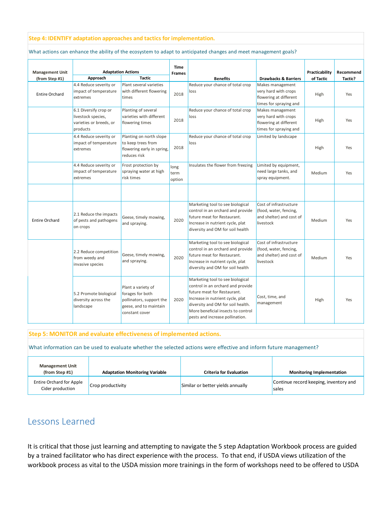#### **Step 4: IDENTIFY adaptation approaches and tactics for implementation.**

What actions can enhance the ability of the ecosystem to adapt to anticipated changes and meet management goals?

| <b>Management Unit</b><br>(from Step #1) | Approach                                                                           | <b>Adaptation Actions</b><br><b>Tactic</b>                                                                     | <b>Time</b><br><b>Frames</b> | <b>Benefits</b>                                                                                                                                                                                                                                        | <b>Drawbacks &amp; Barriers</b>                                                              | Practicability<br>of Tactic | Recommend<br>Tactic? |
|------------------------------------------|------------------------------------------------------------------------------------|----------------------------------------------------------------------------------------------------------------|------------------------------|--------------------------------------------------------------------------------------------------------------------------------------------------------------------------------------------------------------------------------------------------------|----------------------------------------------------------------------------------------------|-----------------------------|----------------------|
| <b>Entire Orchard</b>                    | 4.4 Reduce severity or<br>impact of temperature<br>extremes                        | Plant several varieties<br>with different flowering<br>times                                                   | 2018                         | Reduce your chance of total crop<br>loss                                                                                                                                                                                                               | Makes management<br>very hard with crops<br>flowering at different<br>times for spraying and | High                        | Yes                  |
|                                          | 6.1 Diversify crop or<br>livestock species,<br>varieties or breeds, or<br>products | Planting of several<br>varieties with different<br>flowering times                                             | 2018                         | Reduce your chance of total crop<br>loss                                                                                                                                                                                                               | Makes management<br>very hard with crops<br>flowering at different<br>times for spraying and | High                        | Yes                  |
|                                          | 4.4 Reduce severity or<br>impact of temperature<br>extremes                        | Planting on north slope<br>to keep trees from<br>flowering early in spring,<br>reduces risk                    | 2018                         | Reduce your chance of total crop<br>loss                                                                                                                                                                                                               | Limited by landscape                                                                         | High                        | Yes                  |
|                                          | 4.4 Reduce severity or<br>impact of temperature<br>extremes                        | Frost protection by<br>spraying water at high<br>risk times                                                    | long<br>term<br>option       | Insulates the flower from freezing                                                                                                                                                                                                                     | Limited by equipment,<br>need large tanks, and<br>spray equipment.                           | Medium                      | Yes                  |
|                                          |                                                                                    |                                                                                                                |                              |                                                                                                                                                                                                                                                        |                                                                                              |                             |                      |
| <b>Entire Orchard</b>                    | 2.1 Reduce the impacts<br>of pests and pathogens<br>on crops                       | Geese, timely mowing,<br>and spraying.                                                                         | 2020                         | Marketing tool to see biological<br>control in an orchard and provide<br>future meat for Restaurant.<br>Increase in nutrient cycle, plat<br>diversity and OM for soil health                                                                           | Cost of infrastructure<br>(food, water, fencing,<br>and shelter) and cost of<br>livestock    | Medium                      | Yes                  |
|                                          | 2.2 Reduce competition<br>from weedy and<br>invasive species                       | Geese, timely mowing,<br>and spraying.                                                                         | 2020                         | Marketing tool to see biological<br>control in an orchard and provide<br>future meat for Restaurant.<br>Increase in nutrient cycle, plat<br>diversity and OM for soil health                                                                           | Cost of infrastructure<br>(food, water, fencing,<br>and shelter) and cost of<br>livestock    | Medium                      | Yes                  |
|                                          | 5.2 Promote biological<br>diversity across the<br>landscape                        | Plant a variety of<br>forages for both<br>pollinators, support the<br>geese, and to maintain<br>constant cover | 2020                         | Marketing tool to see biological<br>control in an orchard and provide<br>future meat for Restaurant.<br>Increase in nutrient cycle, plat<br>diversity and OM for soil health.<br>More beneficial insects to control<br>pests and increase pollination. | Cost, time, and<br>management                                                                | High                        | Yes                  |

**Step 5: MONITOR and evaluate effectiveness of implemented actions.**

What information can be used to evaluate whether the selected actions were effective and inform future management?

| <b>Management Unit</b><br>(from Step #1)            | <b>Adaptation Monitoring Variable</b> | <b>Criteria for Evaluation</b>    | <b>Monitoring Implementation</b>                |
|-----------------------------------------------------|---------------------------------------|-----------------------------------|-------------------------------------------------|
| <b>Entire Orchard for Apple</b><br>Cider production | Crop productivity                     | Similar or better yields annually | Continue record keeping, inventory and<br>sales |

### Lessons Learned

It is critical that those just learning and attempting to navigate the 5 step Adaptation Workbook process are guided by a trained facilitator who has direct experience with the process. To that end, if USDA views utilization of the workbook process as vital to the USDA mission more trainings in the form of workshops need to be offered to USDA